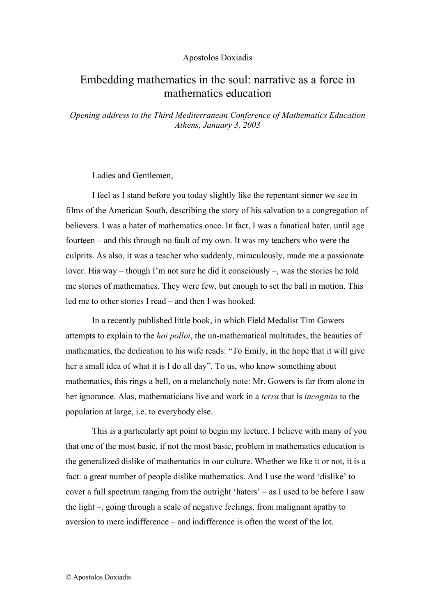### Apostolos Doxiadis

# Embedding mathematics in the soul: narrative as a force in mathematics education

*Opening address to the Third Mediterranean Conference of Mathematics Education Athens, January 3, 2003* 

Ladies and Gentlemen,

I feel as I stand before you today slightly like the repentant sinner we see in films of the American South, describing the story of his salvation to a congregation of believers. I was a hater of mathematics once. In fact, I was a fanatical hater, until age fourteen – and this through no fault of my own. It was my teachers who were the culprits. As also, it was a teacher who suddenly, miraculously, made me a passionate lover. His way – though I'm not sure he did it consciously *–*, was the stories he told me stories of mathematics. They were few, but enough to set the ball in motion. This led me to other stories I read – and then I was hooked.

In a recently published little book, in which Field Medalist Tim Gowers attempts to explain to the *hoi polloi*, the un-mathematical multitudes, the beauties of mathematics, the dedication to his wife reads: "To Emily, in the hope that it will give her a small idea of what it is I do all day". To us, who know something about mathematics, this rings a bell, on a melancholy note: Mr. Gowers is far from alone in her ignorance. Alas, mathematicians live and work in a *terra* that is *incognita* to the population at large, i.e. to everybody else.

This is a particularly apt point to begin my lecture. I believe with many of you that one of the most basic, if not the most basic, problem in mathematics education is the generalized dislike of mathematics in our culture. Whether we like it or not, it is a fact: a great number of people dislike mathematics. And I use the word 'dislike' to cover a full spectrum ranging from the outright 'haters' – as I used to be before I saw the light –, going through a scale of negative feelings, from malignant apathy to aversion to mere indifference – and indifference is often the worst of the lot.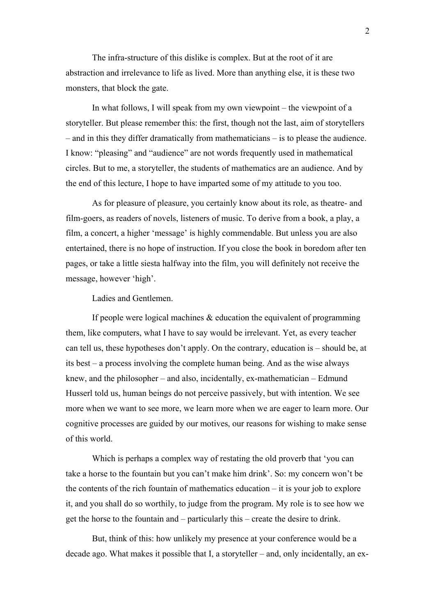The infra-structure of this dislike is complex. But at the root of it are abstraction and irrelevance to life as lived. More than anything else, it is these two monsters, that block the gate.

In what follows, I will speak from my own viewpoint – the viewpoint of a storyteller. But please remember this: the first, though not the last, aim of storytellers – and in this they differ dramatically from mathematicians – is to please the audience. I know: "pleasing" and "audience" are not words frequently used in mathematical circles. But to me, a storyteller, the students of mathematics are an audience. And by the end of this lecture, I hope to have imparted some of my attitude to you too.

As for pleasure of pleasure, you certainly know about its role, as theatre- and film-goers, as readers of novels, listeners of music. To derive from a book, a play, a film, a concert, a higher 'message' is highly commendable. But unless you are also entertained, there is no hope of instruction. If you close the book in boredom after ten pages, or take a little siesta halfway into the film, you will definitely not receive the message, however 'high'.

Ladies and Gentlemen.

If people were logical machines  $\&$  education the equivalent of programming them, like computers, what I have to say would be irrelevant. Yet, as every teacher can tell us, these hypotheses don't apply. On the contrary, education is – should be, at its best – a process involving the complete human being. And as the wise always knew, and the philosopher – and also, incidentally, ex-mathematician – Edmund Husserl told us, human beings do not perceive passively, but with intention. We see more when we want to see more, we learn more when we are eager to learn more. Our cognitive processes are guided by our motives, our reasons for wishing to make sense of this world.

Which is perhaps a complex way of restating the old proverb that 'you can take a horse to the fountain but you can't make him drink'. So: my concern won't be the contents of the rich fountain of mathematics education  $-$  it is your job to explore it, and you shall do so worthily, to judge from the program. My role is to see how we get the horse to the fountain and – particularly this – create the desire to drink.

But, think of this: how unlikely my presence at your conference would be a decade ago. What makes it possible that I, a storyteller – and, only incidentally, an ex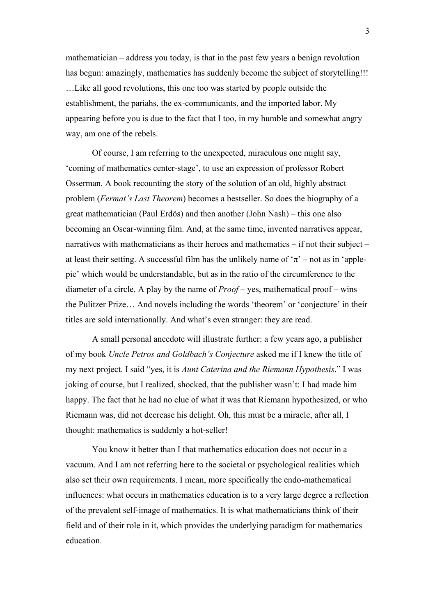mathematician – address you today, is that in the past few years a benign revolution has begun: amazingly, mathematics has suddenly become the subject of storytelling!!! …Like all good revolutions, this one too was started by people outside the establishment, the pariahs, the ex-communicants, and the imported labor. My appearing before you is due to the fact that I too, in my humble and somewhat angry way, am one of the rebels.

Of course, I am referring to the unexpected, miraculous one might say, 'coming of mathematics center-stage', to use an expression of professor Robert Osserman. A book recounting the story of the solution of an old, highly abstract problem (*Fermat's Last Theorem*) becomes a bestseller. So does the biography of a great mathematician (Paul Erdös) and then another (John Nash) – this one also becoming an Oscar-winning film. And, at the same time, invented narratives appear, narratives with mathematicians as their heroes and mathematics – if not their subject – at least their setting. A successful film has the unlikely name of  $\pi$  – not as in 'applepie' which would be understandable, but as in the ratio of the circumference to the diameter of a circle. A play by the name of *Proof* – yes, mathematical proof – wins the Pulitzer Prize… And novels including the words 'theorem' or 'conjecture' in their titles are sold internationally. And what's even stranger: they are read.

A small personal anecdote will illustrate further: a few years ago, a publisher of my book *Uncle Petros and Goldbach's Conjecture* asked me if I knew the title of my next project. I said "yes, it is *Aunt Caterina and the Riemann Hypothesis*." I was joking of course, but I realized, shocked, that the publisher wasn't: I had made him happy. The fact that he had no clue of what it was that Riemann hypothesized, or who Riemann was, did not decrease his delight. Oh, this must be a miracle, after all, I thought: mathematics is suddenly a hot-seller!

You know it better than I that mathematics education does not occur in a vacuum. And I am not referring here to the societal or psychological realities which also set their own requirements. I mean, more specifically the endo-mathematical influences: what occurs in mathematics education is to a very large degree a reflection of the prevalent self-image of mathematics. It is what mathematicians think of their field and of their role in it, which provides the underlying paradigm for mathematics education.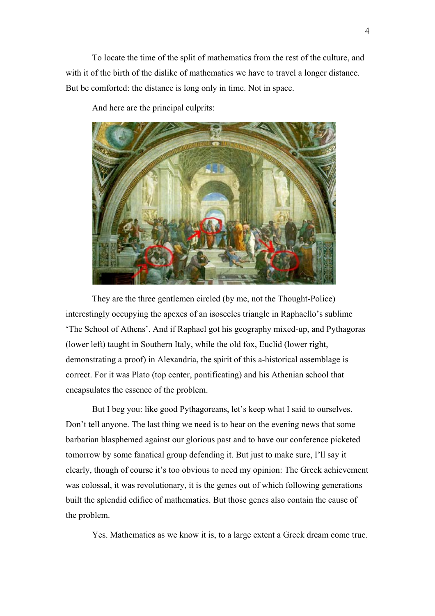To locate the time of the split of mathematics from the rest of the culture, and with it of the birth of the dislike of mathematics we have to travel a longer distance. But be comforted: the distance is long only in time. Not in space.

And here are the principal culprits:



They are the three gentlemen circled (by me, not the Thought-Police) interestingly occupying the apexes of an isosceles triangle in Raphaello's sublime 'The School of Athens'. And if Raphael got his geography mixed-up, and Pythagoras (lower left) taught in Southern Italy, while the old fox, Euclid (lower right, demonstrating a proof) in Alexandria, the spirit of this a-historical assemblage is correct. For it was Plato (top center, pontificating) and his Athenian school that encapsulates the essence of the problem.

But I beg you: like good Pythagoreans, let's keep what I said to ourselves. Don't tell anyone. The last thing we need is to hear on the evening news that some barbarian blasphemed against our glorious past and to have our conference picketed tomorrow by some fanatical group defending it. But just to make sure, I'll say it clearly, though of course it's too obvious to need my opinion: The Greek achievement was colossal, it was revolutionary, it is the genes out of which following generations built the splendid edifice of mathematics. But those genes also contain the cause of the problem.

Yes. Mathematics as we know it is, to a large extent a Greek dream come true.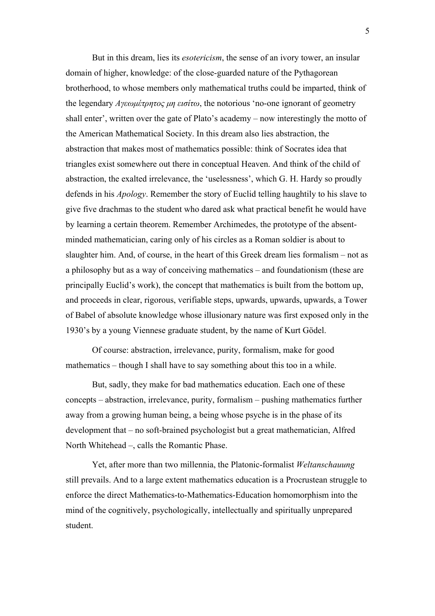But in this dream, lies its *esotericism*, the sense of an ivory tower, an insular domain of higher, knowledge: of the close-guarded nature of the Pythagorean brotherhood, to whose members only mathematical truths could be imparted, think of the legendary *Αγεωµέτρητος µη εισίτω*, the notorious 'no-one ignorant of geometry shall enter', written over the gate of Plato's academy – now interestingly the motto of the American Mathematical Society. In this dream also lies abstraction, the abstraction that makes most of mathematics possible: think of Socrates idea that triangles exist somewhere out there in conceptual Heaven. And think of the child of abstraction, the exalted irrelevance, the 'uselessness', which G. H. Hardy so proudly defends in his *Apology*. Remember the story of Euclid telling haughtily to his slave to give five drachmas to the student who dared ask what practical benefit he would have by learning a certain theorem. Remember Archimedes, the prototype of the absentminded mathematician, caring only of his circles as a Roman soldier is about to slaughter him. And, of course, in the heart of this Greek dream lies formalism – not as a philosophy but as a way of conceiving mathematics – and foundationism (these are principally Euclid's work), the concept that mathematics is built from the bottom up, and proceeds in clear, rigorous, verifiable steps, upwards, upwards, upwards, a Tower of Babel of absolute knowledge whose illusionary nature was first exposed only in the 1930's by a young Viennese graduate student, by the name of Kurt Gödel.

Of course: abstraction, irrelevance, purity, formalism, make for good mathematics – though I shall have to say something about this too in a while.

But, sadly, they make for bad mathematics education. Each one of these concepts – abstraction, irrelevance, purity, formalism – pushing mathematics further away from a growing human being, a being whose psyche is in the phase of its development that – no soft-brained psychologist but a great mathematician, Alfred North Whitehead –, calls the Romantic Phase.

Yet, after more than two millennia, the Platonic-formalist *Weltanschauung* still prevails. And to a large extent mathematics education is a Procrustean struggle to enforce the direct Mathematics-to-Mathematics-Education homomorphism into the mind of the cognitively, psychologically, intellectually and spiritually unprepared student.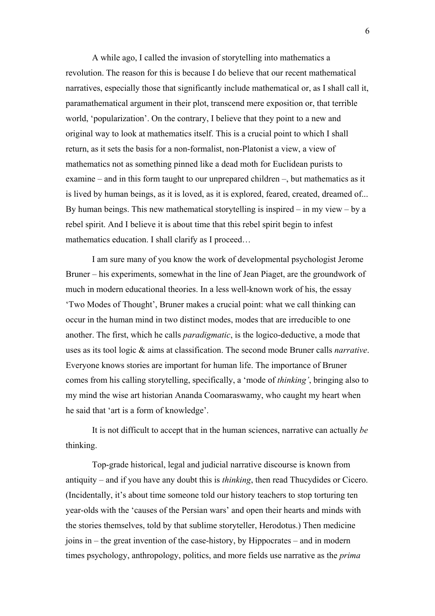A while ago, I called the invasion of storytelling into mathematics a revolution. The reason for this is because I do believe that our recent mathematical narratives, especially those that significantly include mathematical or, as I shall call it, paramathematical argument in their plot, transcend mere exposition or, that terrible world, 'popularization'. On the contrary, I believe that they point to a new and original way to look at mathematics itself. This is a crucial point to which I shall return, as it sets the basis for a non-formalist, non-Platonist a view, a view of mathematics not as something pinned like a dead moth for Euclidean purists to examine – and in this form taught to our unprepared children –, but mathematics as it is lived by human beings, as it is loved, as it is explored, feared, created, dreamed of... By human beings. This new mathematical storytelling is inspired – in my view – by a rebel spirit. And I believe it is about time that this rebel spirit begin to infest mathematics education. I shall clarify as I proceed...

I am sure many of you know the work of developmental psychologist Jerome Bruner – his experiments, somewhat in the line of Jean Piaget, are the groundwork of much in modern educational theories. In a less well-known work of his, the essay 'Two Modes of Thought', Bruner makes a crucial point: what we call thinking can occur in the human mind in two distinct modes, modes that are irreducible to one another. The first, which he calls *paradigmatic*, is the logico-deductive, a mode that uses as its tool logic & aims at classification. The second mode Bruner calls *narrative*. Everyone knows stories are important for human life. The importance of Bruner comes from his calling storytelling, specifically, a 'mode of *thinking'*, bringing also to my mind the wise art historian Ananda Coomaraswamy, who caught my heart when he said that 'art is a form of knowledge'.

It is not difficult to accept that in the human sciences, narrative can actually *be* thinking.

Top-grade historical, legal and judicial narrative discourse is known from antiquity – and if you have any doubt this is *thinking*, then read Thucydides or Cicero. (Incidentally, it's about time someone told our history teachers to stop torturing ten year-olds with the 'causes of the Persian wars' and open their hearts and minds with the stories themselves, told by that sublime storyteller, Herodotus.) Then medicine joins in – the great invention of the case-history, by Hippocrates – and in modern times psychology, anthropology, politics, and more fields use narrative as the *prima*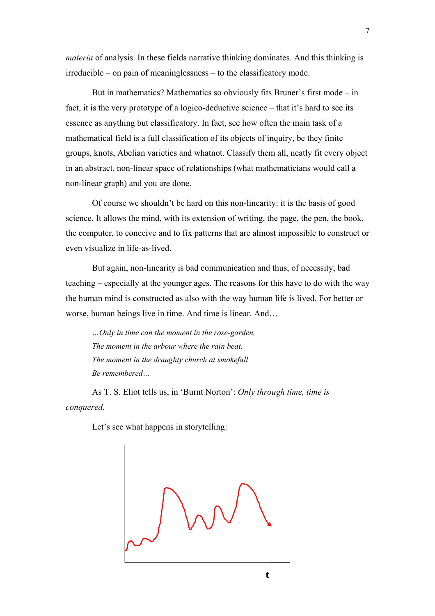*materia* of analysis. In these fields narrative thinking dominates. And this thinking is irreducible – on pain of meaninglessness – to the classificatory mode.

But in mathematics? Mathematics so obviously fits Bruner's first mode – in fact, it is the very prototype of a logico-deductive science – that it's hard to see its essence as anything but classificatory. In fact, see how often the main task of a mathematical field is a full classification of its objects of inquiry, be they finite groups, knots, Abelian varieties and whatnot. Classify them all, neatly fit every object in an abstract, non-linear space of relationships (what mathematicians would call a non-linear graph) and you are done.

Of course we shouldn't be hard on this non-linearity: it is the basis of good science. It allows the mind, with its extension of writing, the page, the pen, the book, the computer, to conceive and to fix patterns that are almost impossible to construct or even visualize in life-as-lived.

But again, non-linearity is bad communication and thus, of necessity, bad teaching – especially at the younger ages. The reasons for this have to do with the way the human mind is constructed as also with the way human life is lived. For better or worse, human beings live in time. And time is linear. And...

*…Only in time can the moment in the rose-garden, The moment in the arbour where the rain beat, The moment in the draughty church at smokefall Be remembered…* 

As T. S. Eliot tells us, in 'Burnt Norton': *Only through time, time is conquered.* 

Let's see what happens in storytelling: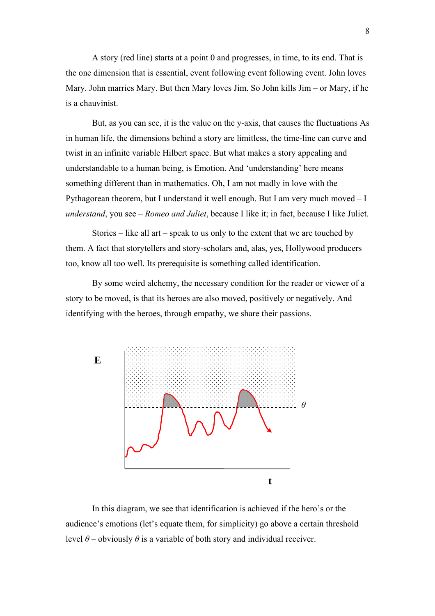A story (red line) starts at a point 0 and progresses, in time, to its end. That is the one dimension that is essential, event following event following event. John loves Mary. John marries Mary. But then Mary loves Jim. So John kills Jim – or Mary, if he is a chauvinist.

But, as you can see, it is the value on the y-axis, that causes the fluctuations As in human life, the dimensions behind a story are limitless, the time-line can curve and twist in an infinite variable Hilbert space. But what makes a story appealing and understandable to a human being, is Emotion. And 'understanding' here means something different than in mathematics. Oh, I am not madly in love with the Pythagorean theorem, but I understand it well enough. But I am very much moved – I *understand*, you see – *Romeo and Juliet*, because I like it; in fact, because I like Juliet.

Stories – like all art – speak to us only to the extent that we are touched by them. A fact that storytellers and story-scholars and, alas, yes, Hollywood producers too, know all too well. Its prerequisite is something called identification.

By some weird alchemy, the necessary condition for the reader or viewer of a story to be moved, is that its heroes are also moved, positively or negatively. And identifying with the heroes, through empathy, we share their passions.



In this diagram, we see that identification is achieved if the hero's or the audience's emotions (let's equate them, for simplicity) go above a certain threshold level  $θ$  – obviously  $θ$  is a variable of both story and individual receiver.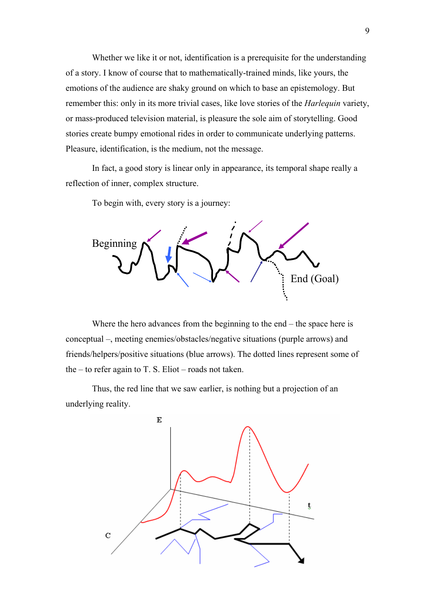Whether we like it or not, identification is a prerequisite for the understanding of a story. I know of course that to mathematically-trained minds, like yours, the emotions of the audience are shaky ground on which to base an epistemology. But remember this: only in its more trivial cases, like love stories of the *Harlequin* variety, or mass-produced television material, is pleasure the sole aim of storytelling. Good stories create bumpy emotional rides in order to communicate underlying patterns. Pleasure, identification, is the medium, not the message.

In fact, a good story is linear only in appearance, its temporal shape really a reflection of inner, complex structure.

To begin with, every story is a journey:



Where the hero advances from the beginning to the end – the space here is conceptual –, meeting enemies/obstacles/negative situations (purple arrows) and friends/helpers/positive situations (blue arrows). The dotted lines represent some of the – to refer again to T. S. Eliot – roads not taken.

Thus, the red line that we saw earlier, is nothing but a projection of an underlying reality.

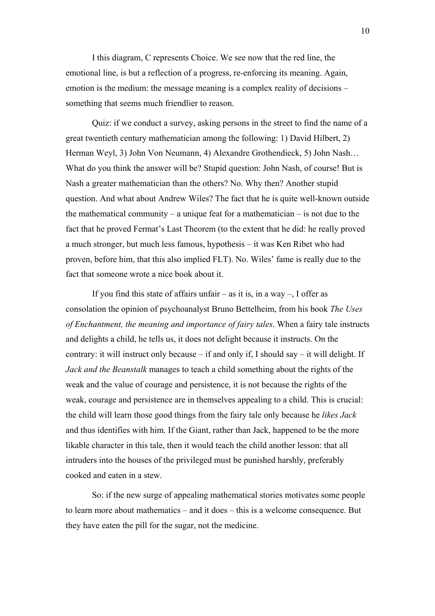I this diagram, C represents Choice. We see now that the red line, the emotional line, is but a reflection of a progress, re-enforcing its meaning. Again, emotion is the medium: the message meaning is a complex reality of decisions – something that seems much friendlier to reason.

Quiz: if we conduct a survey, asking persons in the street to find the name of a great twentieth century mathematician among the following: 1) David Hilbert, 2) Herman Weyl, 3) John Von Neumann, 4) Alexandre Grothendieck, 5) John Nash… What do you think the answer will be? Stupid question: John Nash, of course! But is Nash a greater mathematician than the others? No. Why then? Another stupid question. And what about Andrew Wiles? The fact that he is quite well-known outside the mathematical community – a unique feat for a mathematician – is not due to the fact that he proved Fermat's Last Theorem (to the extent that he did: he really proved a much stronger, but much less famous, hypothesis – it was Ken Ribet who had proven, before him, that this also implied FLT). No. Wiles' fame is really due to the fact that someone wrote a nice book about it.

If you find this state of affairs unfair – as it is, in a way –, I offer as consolation the opinion of psychoanalyst Bruno Bettelheim, from his book *The Uses of Enchantment, the meaning and importance of fairy tales*. When a fairy tale instructs and delights a child, he tells us, it does not delight because it instructs. On the contrary: it will instruct only because – if and only if, I should say – it will delight. If *Jack and the Beanstalk* manages to teach a child something about the rights of the weak and the value of courage and persistence, it is not because the rights of the weak, courage and persistence are in themselves appealing to a child. This is crucial: the child will learn those good things from the fairy tale only because he *likes Jack* and thus identifies with him. If the Giant, rather than Jack, happened to be the more likable character in this tale, then it would teach the child another lesson: that all intruders into the houses of the privileged must be punished harshly, preferably cooked and eaten in a stew.

So: if the new surge of appealing mathematical stories motivates some people to learn more about mathematics – and it does – this is a welcome consequence. But they have eaten the pill for the sugar, not the medicine.

10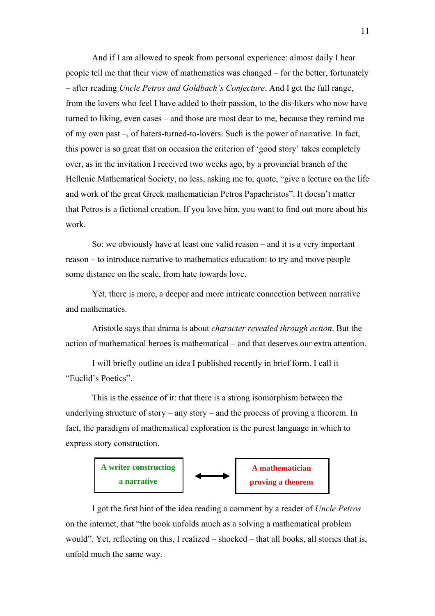And if I am allowed to speak from personal experience: almost daily I hear people tell me that their view of mathematics was changed – for the better, fortunately – after reading *Uncle Petros and Goldbach's Conjecture*. And I get the full range, from the lovers who feel I have added to their passion, to the dis-likers who now have turned to liking, even cases – and those are most dear to me, because they remind me of my own past –, of haters-turned-to-lovers. Such is the power of narrative. In fact, this power is so great that on occasion the criterion of 'good story' takes completely over, as in the invitation I received two weeks ago, by a provincial branch of the Hellenic Mathematical Society, no less, asking me to, quote, "give a lecture on the life and work of the great Greek mathematician Petros Papachristos". It doesn't matter that Petros is a fictional creation. If you love him, you want to find out more about his work.

So: we obviously have at least one valid reason – and it is a very important reason – to introduce narrative to mathematics education: to try and move people some distance on the scale, from hate towards love.

Yet, there is more, a deeper and more intricate connection between narrative and mathematics.

Aristotle says that drama is about *character revealed through action*. But the action of mathematical heroes is mathematical – and that deserves our extra attention.

I will briefly outline an idea I published recently in brief form. I call it "Euclid's Poetics".

This is the essence of it: that there is a strong isomorphism between the underlying structure of story – any story – and the process of proving a theorem. In fact, the paradigm of mathematical exploration is the purest language in which to express story construction.



I got the first hint of the idea reading a comment by a reader of *Uncle Petros* on the internet, that "the book unfolds much as a solving a mathematical problem would". Yet, reflecting on this, I realized – shocked – that all books, all stories that is, unfold much the same way.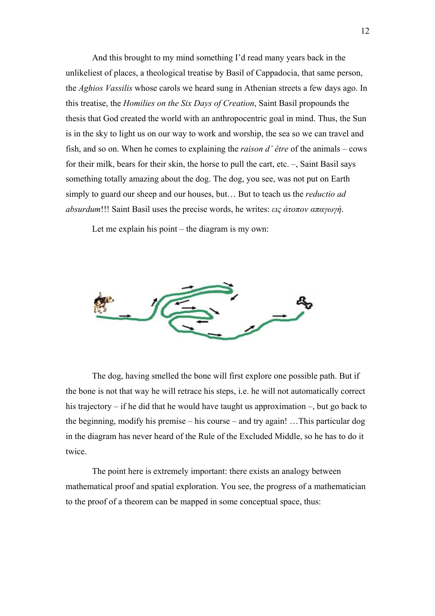And this brought to my mind something I'd read many years back in the unlikeliest of places, a theological treatise by Basil of Cappadocia, that same person, the *Aghios Vassilis* whose carols we heard sung in Athenian streets a few days ago. In this treatise, the *Homilies on the Six Days of Creation*, Saint Basil propounds the thesis that God created the world with an anthropocentric goal in mind. Thus, the Sun is in the sky to light us on our way to work and worship, the sea so we can travel and fish, and so on. When he comes to explaining the *raison d' être* of the animals – cows for their milk, bears for their skin, the horse to pull the cart, etc. –, Saint Basil says something totally amazing about the dog. The dog, you see, was not put on Earth simply to guard our sheep and our houses, but… But to teach us the *reductio ad absurdum*!!! Saint Basil uses the precise words, he writes: *εις άτοπον απαγωγή*.

Let me explain his point – the diagram is my own:



The dog, having smelled the bone will first explore one possible path. But if the bone is not that way he will retrace his steps, i.e. he will not automatically correct his trajectory – if he did that he would have taught us approximation –, but go back to the beginning, modify his premise – his course – and try again! …This particular dog in the diagram has never heard of the Rule of the Excluded Middle, so he has to do it twice.

The point here is extremely important: there exists an analogy between mathematical proof and spatial exploration. You see, the progress of a mathematician to the proof of a theorem can be mapped in some conceptual space, thus: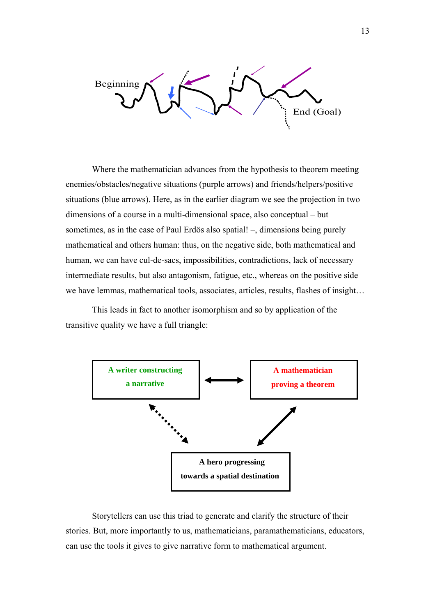Beginning End (Goal)

Where the mathematician advances from the hypothesis to theorem meeting enemies/obstacles/negative situations (purple arrows) and friends/helpers/positive situations (blue arrows). Here, as in the earlier diagram we see the projection in two dimensions of a course in a multi-dimensional space, also conceptual – but sometimes, as in the case of Paul Erdös also spatial! –, dimensions being purely mathematical and others human: thus, on the negative side, both mathematical and human, we can have cul-de-sacs, impossibilities, contradictions, lack of necessary intermediate results, but also antagonism, fatigue, etc., whereas on the positive side we have lemmas, mathematical tools, associates, articles, results, flashes of insight…

This leads in fact to another isomorphism and so by application of the transitive quality we have a full triangle:



Storytellers can use this triad to generate and clarify the structure of their stories. But, more importantly to us, mathematicians, paramathematicians, educators, can use the tools it gives to give narrative form to mathematical argument.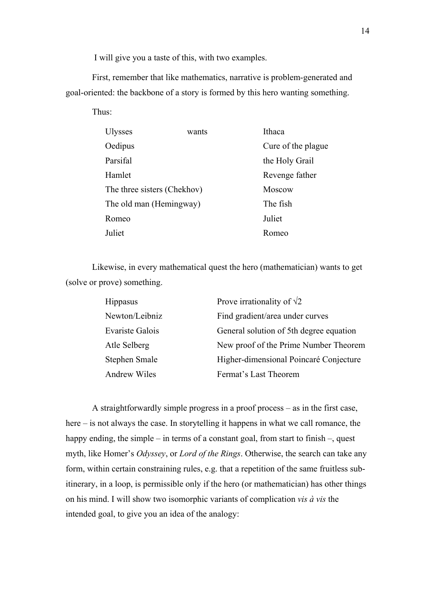I will give you a taste of this, with two examples.

First, remember that like mathematics, narrative is problem-generated and goal-oriented: the backbone of a story is formed by this hero wanting something.

Thus:

| <b>Ulysses</b>              | wants | Ithaca             |
|-----------------------------|-------|--------------------|
| Oedipus                     |       | Cure of the plague |
| Parsifal                    |       | the Holy Grail     |
| Hamlet                      |       | Revenge father     |
| The three sisters (Chekhov) |       | Moscow             |
| The old man (Hemingway)     |       | The fish           |
| Romeo                       |       | Juliet             |
| Juliet                      |       | Romeo              |

Likewise, in every mathematical quest the hero (mathematician) wants to get (solve or prove) something.

| <b>Hippasus</b>        | Prove irrationality of $\sqrt{2}$       |
|------------------------|-----------------------------------------|
| Newton/Leibniz         | Find gradient/area under curves         |
| <b>Evariste Galois</b> | General solution of 5th degree equation |
| Atle Selberg           | New proof of the Prime Number Theorem   |
| <b>Stephen Smale</b>   | Higher-dimensional Poincaré Conjecture  |
| <b>Andrew Wiles</b>    | Fermat's Last Theorem                   |

A straightforwardly simple progress in a proof process – as in the first case, here – is not always the case. In storytelling it happens in what we call romance, the happy ending, the simple – in terms of a constant goal, from start to finish –, quest myth, like Homer's *Odyssey*, or *Lord of the Rings*. Otherwise, the search can take any form, within certain constraining rules, e.g. that a repetition of the same fruitless subitinerary, in a loop, is permissible only if the hero (or mathematician) has other things on his mind. I will show two isomorphic variants of complication *vis à vis* the intended goal, to give you an idea of the analogy: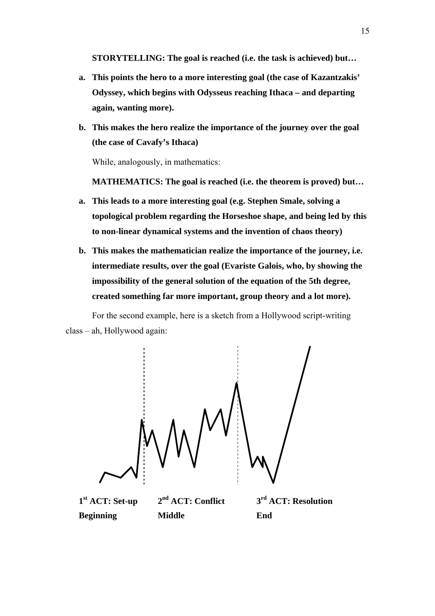**STORYTELLING: The goal is reached (i.e. the task is achieved) but…** 

- **a. This points the hero to a more interesting goal (the case of Kazantzakis' Odyssey, which begins with Odysseus reaching Ithaca – and departing again, wanting more).**
- **b. This makes the hero realize the importance of the journey over the goal (the case of Cavafy's Ithaca)**

While, analogously, in mathematics:

**MATHEMATICS: The goal is reached (i.e. the theorem is proved) but…** 

- **a. This leads to a more interesting goal (e.g. Stephen Smale, solving a topological problem regarding the Horseshoe shape, and being led by this to non-linear dynamical systems and the invention of chaos theory)**
- **b. This makes the mathematician realize the importance of the journey, i.e. intermediate results, over the goal (Evariste Galois, who, by showing the impossibility of the general solution of the equation of the 5th degree, created something far more important, group theory and a lot more).**

For the second example, here is a sketch from a Hollywood script-writing class – ah, Hollywood again:



 **Beginning Middle End** 

**1st ACT: Set-up 2nd ACT: Conflict 3rd ACT: Resolution**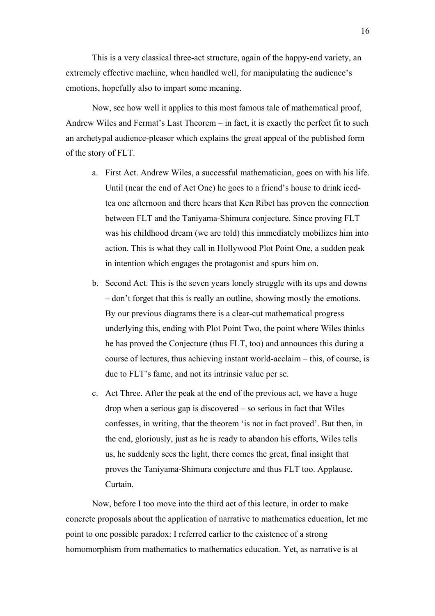This is a very classical three-act structure, again of the happy-end variety, an extremely effective machine, when handled well, for manipulating the audience's emotions, hopefully also to impart some meaning.

Now, see how well it applies to this most famous tale of mathematical proof, Andrew Wiles and Fermat's Last Theorem – in fact, it is exactly the perfect fit to such an archetypal audience-pleaser which explains the great appeal of the published form of the story of FLT.

- a. First Act. Andrew Wiles, a successful mathematician, goes on with his life. Until (near the end of Act One) he goes to a friend's house to drink icedtea one afternoon and there hears that Ken Ribet has proven the connection between FLT and the Taniyama-Shimura conjecture. Since proving FLT was his childhood dream (we are told) this immediately mobilizes him into action. This is what they call in Hollywood Plot Point One, a sudden peak in intention which engages the protagonist and spurs him on.
- b. Second Act. This is the seven years lonely struggle with its ups and downs – don't forget that this is really an outline, showing mostly the emotions. By our previous diagrams there is a clear-cut mathematical progress underlying this, ending with Plot Point Two, the point where Wiles thinks he has proved the Conjecture (thus FLT, too) and announces this during a course of lectures, thus achieving instant world-acclaim – this, of course, is due to FLT's fame, and not its intrinsic value per se.
- c. Act Three. After the peak at the end of the previous act, we have a huge drop when a serious gap is discovered – so serious in fact that Wiles confesses, in writing, that the theorem 'is not in fact proved'. But then, in the end, gloriously, just as he is ready to abandon his efforts, Wiles tells us, he suddenly sees the light, there comes the great, final insight that proves the Taniyama-Shimura conjecture and thus FLT too. Applause. Curtain.

Now, before I too move into the third act of this lecture, in order to make concrete proposals about the application of narrative to mathematics education, let me point to one possible paradox: I referred earlier to the existence of a strong homomorphism from mathematics to mathematics education. Yet, as narrative is at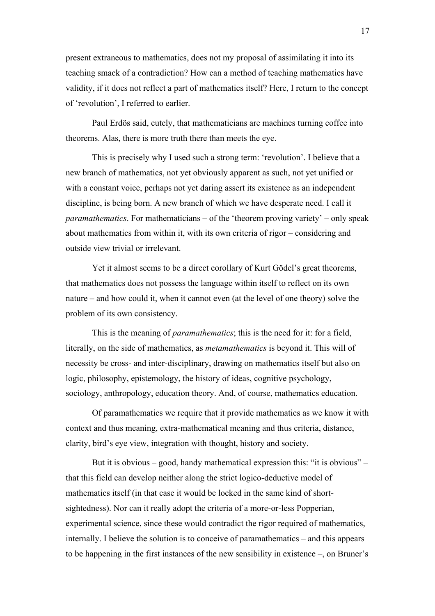present extraneous to mathematics, does not my proposal of assimilating it into its teaching smack of a contradiction? How can a method of teaching mathematics have validity, if it does not reflect a part of mathematics itself? Here, I return to the concept of 'revolution', I referred to earlier.

Paul Erdös said, cutely, that mathematicians are machines turning coffee into theorems. Alas, there is more truth there than meets the eye.

This is precisely why I used such a strong term: 'revolution'. I believe that a new branch of mathematics, not yet obviously apparent as such, not yet unified or with a constant voice, perhaps not yet daring assert its existence as an independent discipline, is being born. A new branch of which we have desperate need. I call it *paramathematics*. For mathematicians – of the 'theorem proving variety' – only speak about mathematics from within it, with its own criteria of rigor – considering and outside view trivial or irrelevant.

Yet it almost seems to be a direct corollary of Kurt Gödel's great theorems, that mathematics does not possess the language within itself to reflect on its own nature – and how could it, when it cannot even (at the level of one theory) solve the problem of its own consistency.

This is the meaning of *paramathematics*; this is the need for it: for a field, literally, on the side of mathematics, as *metamathematics* is beyond it. This will of necessity be cross- and inter-disciplinary, drawing on mathematics itself but also on logic, philosophy, epistemology, the history of ideas, cognitive psychology, sociology, anthropology, education theory. And, of course, mathematics education.

Of paramathematics we require that it provide mathematics as we know it with context and thus meaning, extra-mathematical meaning and thus criteria, distance, clarity, bird's eye view, integration with thought, history and society.

But it is obvious – good, handy mathematical expression this: "it is obvious" – that this field can develop neither along the strict logico-deductive model of mathematics itself (in that case it would be locked in the same kind of shortsightedness). Nor can it really adopt the criteria of a more-or-less Popperian, experimental science, since these would contradict the rigor required of mathematics, internally. I believe the solution is to conceive of paramathematics – and this appears to be happening in the first instances of the new sensibility in existence –, on Bruner's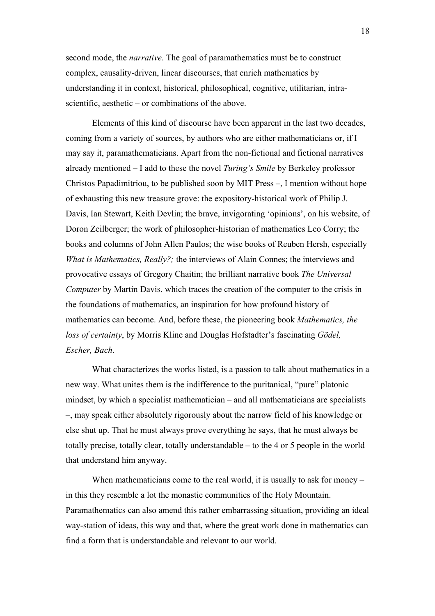second mode, the *narrative*. The goal of paramathematics must be to construct complex, causality-driven, linear discourses, that enrich mathematics by understanding it in context, historical, philosophical, cognitive, utilitarian, intrascientific, aesthetic – or combinations of the above.

Elements of this kind of discourse have been apparent in the last two decades, coming from a variety of sources, by authors who are either mathematicians or, if I may say it, paramathematicians. Apart from the non-fictional and fictional narratives already mentioned – I add to these the novel *Turing's Smile* by Berkeley professor Christos Papadimitriou, to be published soon by MIT Press –, I mention without hope of exhausting this new treasure grove: the expository-historical work of Philip J. Davis, Ian Stewart, Keith Devlin; the brave, invigorating 'opinions', on his website, of Doron Zeilberger; the work of philosopher-historian of mathematics Leo Corry; the books and columns of John Allen Paulos; the wise books of Reuben Hersh, especially *What is Mathematics, Really?;* the interviews of Alain Connes; the interviews and provocative essays of Gregory Chaitin; the brilliant narrative book *The Universal Computer* by Martin Davis, which traces the creation of the computer to the crisis in the foundations of mathematics, an inspiration for how profound history of mathematics can become. And, before these, the pioneering book *Mathematics, the loss of certainty*, by Morris Kline and Douglas Hofstadter's fascinating *Gödel, Escher, Bach*.

What characterizes the works listed, is a passion to talk about mathematics in a new way. What unites them is the indifference to the puritanical, "pure" platonic mindset, by which a specialist mathematician – and all mathematicians are specialists –, may speak either absolutely rigorously about the narrow field of his knowledge or else shut up. That he must always prove everything he says, that he must always be totally precise, totally clear, totally understandable – to the 4 or 5 people in the world that understand him anyway.

When mathematicians come to the real world, it is usually to ask for money – in this they resemble a lot the monastic communities of the Holy Mountain. Paramathematics can also amend this rather embarrassing situation, providing an ideal way-station of ideas, this way and that, where the great work done in mathematics can find a form that is understandable and relevant to our world.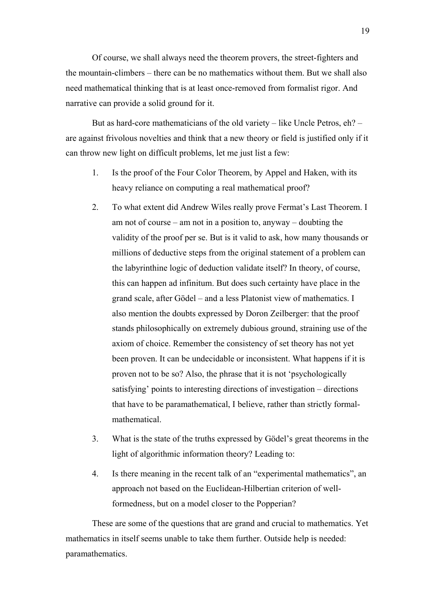Of course, we shall always need the theorem provers, the street-fighters and the mountain-climbers – there can be no mathematics without them. But we shall also need mathematical thinking that is at least once-removed from formalist rigor. And narrative can provide a solid ground for it.

But as hard-core mathematicians of the old variety – like Uncle Petros, eh? – are against frivolous novelties and think that a new theory or field is justified only if it can throw new light on difficult problems, let me just list a few:

- 1. Is the proof of the Four Color Theorem, by Appel and Haken, with its heavy reliance on computing a real mathematical proof?
- 2. To what extent did Andrew Wiles really prove Fermat's Last Theorem. I am not of course – am not in a position to, anyway – doubting the validity of the proof per se. But is it valid to ask, how many thousands or millions of deductive steps from the original statement of a problem can the labyrinthine logic of deduction validate itself? In theory, of course, this can happen ad infinitum. But does such certainty have place in the grand scale, after Gödel – and a less Platonist view of mathematics. I also mention the doubts expressed by Doron Zeilberger: that the proof stands philosophically on extremely dubious ground, straining use of the axiom of choice. Remember the consistency of set theory has not yet been proven. It can be undecidable or inconsistent. What happens if it is proven not to be so? Also, the phrase that it is not 'psychologically satisfying' points to interesting directions of investigation – directions that have to be paramathematical, I believe, rather than strictly formalmathematical.
- 3. What is the state of the truths expressed by Gödel's great theorems in the light of algorithmic information theory? Leading to:
- 4. Is there meaning in the recent talk of an "experimental mathematics", an approach not based on the Euclidean-Hilbertian criterion of wellformedness, but on a model closer to the Popperian?

These are some of the questions that are grand and crucial to mathematics. Yet mathematics in itself seems unable to take them further. Outside help is needed: paramathematics.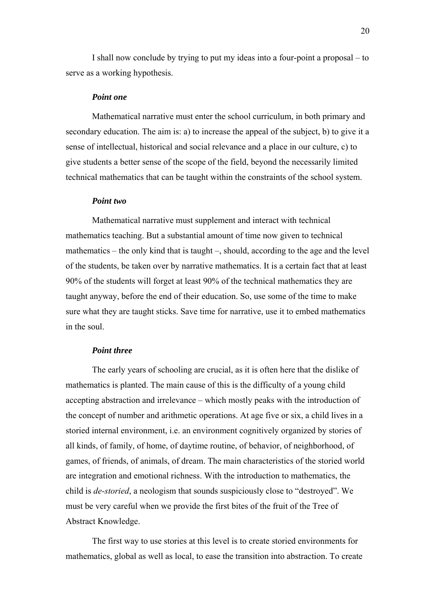I shall now conclude by trying to put my ideas into a four-point a proposal – to serve as a working hypothesis.

#### *Point one*

Mathematical narrative must enter the school curriculum, in both primary and secondary education. The aim is: a) to increase the appeal of the subject, b) to give it a sense of intellectual, historical and social relevance and a place in our culture, c) to give students a better sense of the scope of the field, beyond the necessarily limited technical mathematics that can be taught within the constraints of the school system.

#### *Point two*

Mathematical narrative must supplement and interact with technical mathematics teaching. But a substantial amount of time now given to technical mathematics – the only kind that is taught –, should, according to the age and the level of the students, be taken over by narrative mathematics. It is a certain fact that at least 90% of the students will forget at least 90% of the technical mathematics they are taught anyway, before the end of their education. So, use some of the time to make sure what they are taught sticks. Save time for narrative, use it to embed mathematics in the soul.

## *Point three*

The early years of schooling are crucial, as it is often here that the dislike of mathematics is planted. The main cause of this is the difficulty of a young child accepting abstraction and irrelevance – which mostly peaks with the introduction of the concept of number and arithmetic operations. At age five or six, a child lives in a storied internal environment, i.e. an environment cognitively organized by stories of all kinds, of family, of home, of daytime routine, of behavior, of neighborhood, of games, of friends, of animals, of dream. The main characteristics of the storied world are integration and emotional richness. With the introduction to mathematics, the child is *de-storied*, a neologism that sounds suspiciously close to "destroyed". We must be very careful when we provide the first bites of the fruit of the Tree of Abstract Knowledge.

The first way to use stories at this level is to create storied environments for mathematics, global as well as local, to ease the transition into abstraction. To create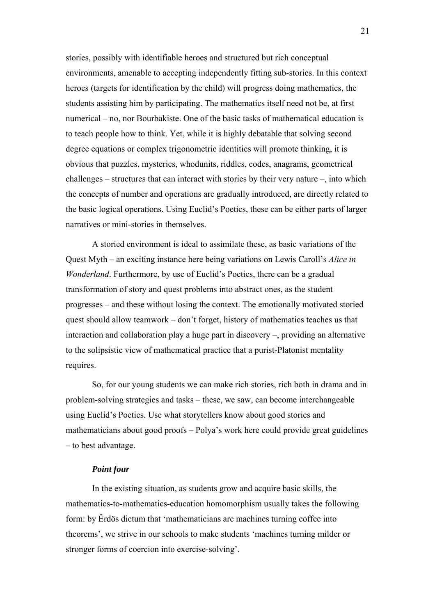stories, possibly with identifiable heroes and structured but rich conceptual environments, amenable to accepting independently fitting sub-stories. In this context heroes (targets for identification by the child) will progress doing mathematics, the students assisting him by participating. The mathematics itself need not be, at first numerical – no, nor Bourbakiste. One of the basic tasks of mathematical education is to teach people how to think. Yet, while it is highly debatable that solving second degree equations or complex trigonometric identities will promote thinking, it is obvious that puzzles, mysteries, whodunits, riddles, codes, anagrams, geometrical challenges – structures that can interact with stories by their very nature –, into which the concepts of number and operations are gradually introduced, are directly related to the basic logical operations. Using Euclid's Poetics, these can be either parts of larger narratives or mini-stories in themselves.

A storied environment is ideal to assimilate these, as basic variations of the Quest Myth – an exciting instance here being variations on Lewis Caroll's *Alice in Wonderland*. Furthermore, by use of Euclid's Poetics, there can be a gradual transformation of story and quest problems into abstract ones, as the student progresses – and these without losing the context. The emotionally motivated storied quest should allow teamwork – don't forget, history of mathematics teaches us that interaction and collaboration play a huge part in discovery –, providing an alternative to the solipsistic view of mathematical practice that a purist-Platonist mentality requires.

So, for our young students we can make rich stories, rich both in drama and in problem-solving strategies and tasks – these, we saw, can become interchangeable using Euclid's Poetics. Use what storytellers know about good stories and mathematicians about good proofs – Polya's work here could provide great guidelines – to best advantage.

## *Point four*

In the existing situation, as students grow and acquire basic skills, the mathematics-to-mathematics-education homomorphism usually takes the following form: by Ërdös dictum that 'mathematicians are machines turning coffee into theorems', we strive in our schools to make students 'machines turning milder or stronger forms of coercion into exercise-solving'.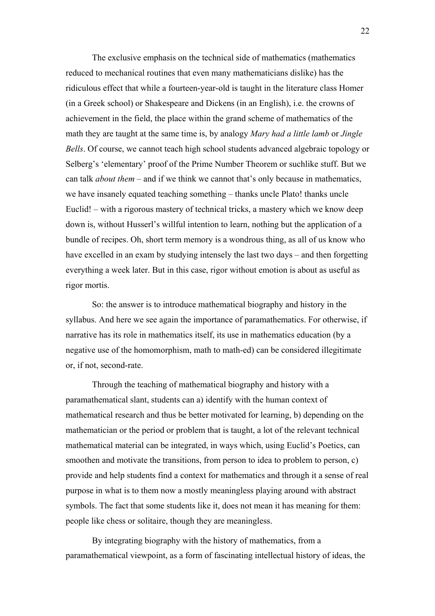The exclusive emphasis on the technical side of mathematics (mathematics reduced to mechanical routines that even many mathematicians dislike) has the ridiculous effect that while a fourteen-year-old is taught in the literature class Homer (in a Greek school) or Shakespeare and Dickens (in an English), i.e. the crowns of achievement in the field, the place within the grand scheme of mathematics of the math they are taught at the same time is, by analogy *Mary had a little lamb* or *Jingle Bells*. Of course, we cannot teach high school students advanced algebraic topology or Selberg's 'elementary' proof of the Prime Number Theorem or suchlike stuff. But we can talk *about them* – and if we think we cannot that's only because in mathematics, we have insanely equated teaching something – thanks uncle Plato! thanks uncle Euclid! – with a rigorous mastery of technical tricks, a mastery which we know deep down is, without Husserl's willful intention to learn, nothing but the application of a bundle of recipes. Oh, short term memory is a wondrous thing, as all of us know who have excelled in an exam by studying intensely the last two days – and then forgetting everything a week later. But in this case, rigor without emotion is about as useful as rigor mortis.

So: the answer is to introduce mathematical biography and history in the syllabus. And here we see again the importance of paramathematics. For otherwise, if narrative has its role in mathematics itself, its use in mathematics education (by a negative use of the homomorphism, math to math-ed) can be considered illegitimate or, if not, second-rate.

Through the teaching of mathematical biography and history with a paramathematical slant, students can a) identify with the human context of mathematical research and thus be better motivated for learning, b) depending on the mathematician or the period or problem that is taught, a lot of the relevant technical mathematical material can be integrated, in ways which, using Euclid's Poetics, can smoothen and motivate the transitions, from person to idea to problem to person, c) provide and help students find a context for mathematics and through it a sense of real purpose in what is to them now a mostly meaningless playing around with abstract symbols. The fact that some students like it, does not mean it has meaning for them: people like chess or solitaire, though they are meaningless.

By integrating biography with the history of mathematics, from a paramathematical viewpoint, as a form of fascinating intellectual history of ideas, the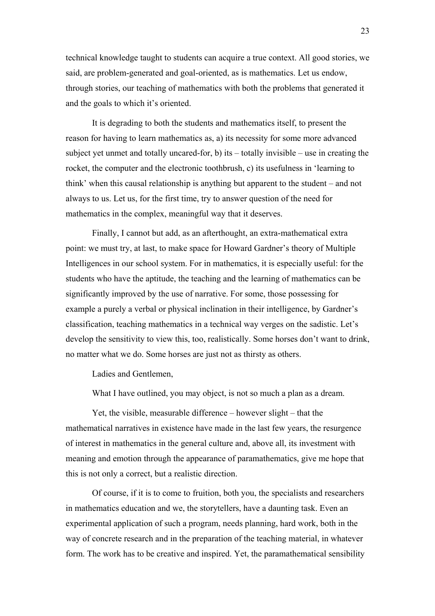technical knowledge taught to students can acquire a true context. All good stories, we said, are problem-generated and goal-oriented, as is mathematics. Let us endow, through stories, our teaching of mathematics with both the problems that generated it and the goals to which it's oriented.

It is degrading to both the students and mathematics itself, to present the reason for having to learn mathematics as, a) its necessity for some more advanced subject yet unmet and totally uncared-for, b) its – totally invisible – use in creating the rocket, the computer and the electronic toothbrush, c) its usefulness in 'learning to think' when this causal relationship is anything but apparent to the student – and not always to us. Let us, for the first time, try to answer question of the need for mathematics in the complex, meaningful way that it deserves.

Finally, I cannot but add, as an afterthought, an extra-mathematical extra point: we must try, at last, to make space for Howard Gardner's theory of Multiple Intelligences in our school system. For in mathematics, it is especially useful: for the students who have the aptitude, the teaching and the learning of mathematics can be significantly improved by the use of narrative. For some, those possessing for example a purely a verbal or physical inclination in their intelligence, by Gardner's classification, teaching mathematics in a technical way verges on the sadistic. Let's develop the sensitivity to view this, too, realistically. Some horses don't want to drink, no matter what we do. Some horses are just not as thirsty as others.

Ladies and Gentlemen,

What I have outlined, you may object, is not so much a plan as a dream.

Yet, the visible, measurable difference – however slight – that the mathematical narratives in existence have made in the last few years, the resurgence of interest in mathematics in the general culture and, above all, its investment with meaning and emotion through the appearance of paramathematics, give me hope that this is not only a correct, but a realistic direction.

Of course, if it is to come to fruition, both you, the specialists and researchers in mathematics education and we, the storytellers, have a daunting task. Even an experimental application of such a program, needs planning, hard work, both in the way of concrete research and in the preparation of the teaching material, in whatever form. The work has to be creative and inspired. Yet, the paramathematical sensibility